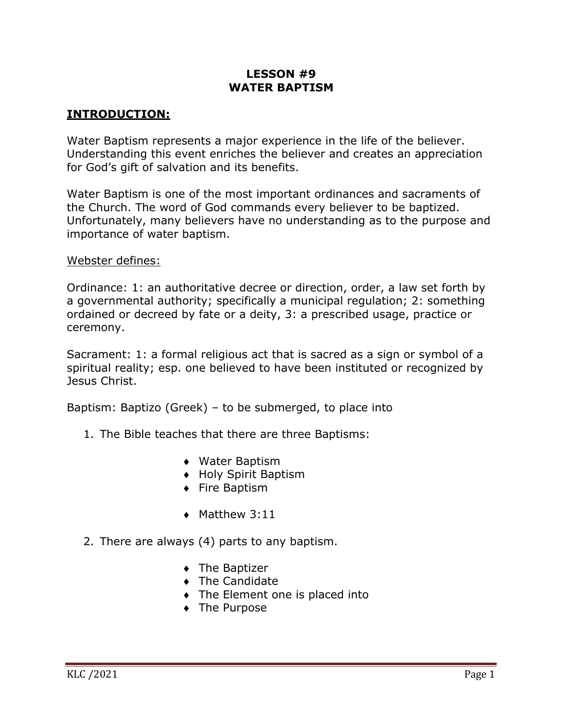# **LESSON #9 WATER BAPTISM**

## **INTRODUCTION:**

Water Baptism represents a major experience in the life of the believer. Understanding this event enriches the believer and creates an appreciation for God's gift of salvation and its benefits.

Water Baptism is one of the most important ordinances and sacraments of the Church. The word of God commands every believer to be baptized. Unfortunately, many believers have no understanding as to the purpose and importance of water baptism.

#### Webster defines:

Ordinance: 1: an authoritative decree or direction, order, a law set forth by a governmental authority; specifically a municipal regulation; 2: something ordained or decreed by fate or a deity, 3: a prescribed usage, practice or ceremony.

Sacrament: 1: a formal religious act that is sacred as a sign or symbol of a spiritual reality; esp. one believed to have been instituted or recognized by Jesus Christ.

Baptism: Baptizo (Greek) – to be submerged, to place into

- 1. The Bible teaches that there are three Baptisms:
	- ◆ Water Baptism
	- ◆ Holy Spirit Baptism
	- ◆ Fire Baptism
	- $\triangleleft$  Matthew 3:11
- 2. There are always (4) parts to any baptism.
	- $\bullet$  The Baptizer
	- $\bullet$  The Candidate
	- $\bullet$  The Element one is placed into
	- The Purpose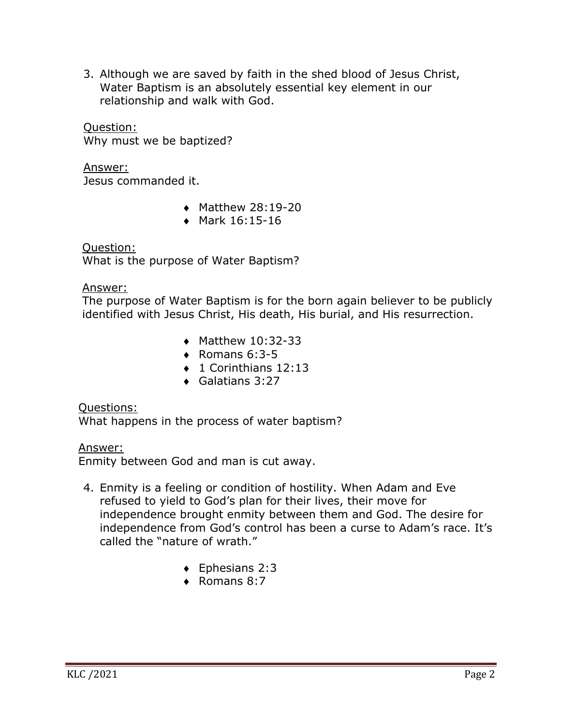3. Although we are saved by faith in the shed blood of Jesus Christ, Water Baptism is an absolutely essential key element in our relationship and walk with God.

Question: Why must we be baptized?

Answer: Jesus commanded it.

- $\bullet$  Matthew 28:19-20
- Mark  $16:15-16$

 Question: What is the purpose of Water Baptism?

Answer:

 The purpose of Water Baptism is for the born again believer to be publicly identified with Jesus Christ, His death, His burial, and His resurrection.

- $\bullet$  Matthew 10:32-33
- $\bullet$  Romans 6:3-5
- $\bullet$  1 Corinthians 12:13
- $\triangleleft$  Galatians 3:27

### Questions:

What happens in the process of water baptism?

Answer:

Enmity between God and man is cut away.

- 4. Enmity is a feeling or condition of hostility. When Adam and Eve refused to yield to God's plan for their lives, their move for independence brought enmity between them and God. The desire for independence from God's control has been a curse to Adam's race. It's called the "nature of wrath."
	- $\triangleleft$  Ephesians 2:3
	- $\triangleleft$  Romans 8:7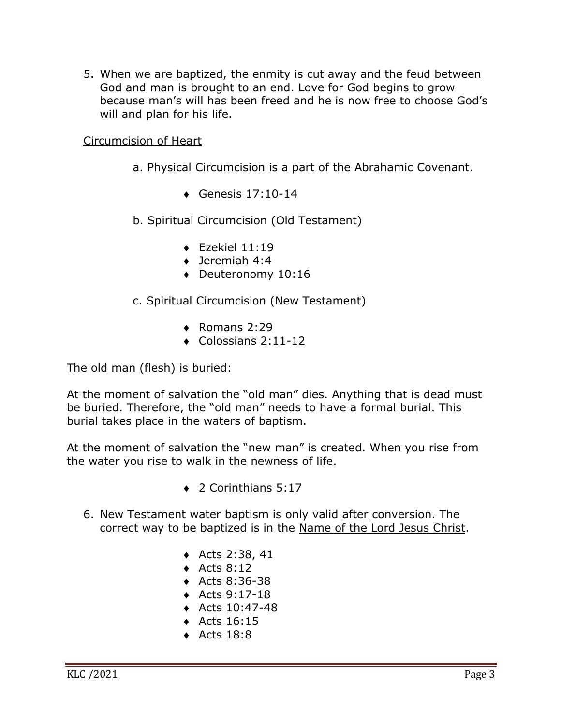5. When we are baptized, the enmity is cut away and the feud between God and man is brought to an end. Love for God begins to grow because man's will has been freed and he is now free to choose God's will and plan for his life.

Circumcision of Heart

- a. Physical Circumcision is a part of the Abrahamic Covenant.
	- $\triangleleft$  Genesis 17:10-14
- b. Spiritual Circumcision (Old Testament)
	- $\triangleleft$  Ezekiel 11:19
	- $\bullet$  Jeremiah 4:4
	- $\bullet$  Deuteronomy 10:16

c. Spiritual Circumcision (New Testament)

- $\bullet$  Romans 2:29
- $\bullet$  Colossians 2:11-12

#### The old man (flesh) is buried:

At the moment of salvation the "old man" dies. Anything that is dead must be buried. Therefore, the "old man" needs to have a formal burial. This burial takes place in the waters of baptism.

At the moment of salvation the "new man" is created. When you rise from the water you rise to walk in the newness of life.

- $\triangle$  2 Corinthians 5:17
- 6. New Testament water baptism is only valid after conversion. The correct way to be baptized is in the Name of the Lord Jesus Christ.
	- $\triangleleft$  Acts 2:38, 41
	- $\triangleleft$  Acts 8:12
	- $\triangleleft$  Acts 8:36-38
	- ◆ Acts  $9:17-18$
	- $\triangleleft$  Acts 10:47-48
	- $\triangleleft$  Acts 16:15
	- $\triangleleft$  Acts 18:8